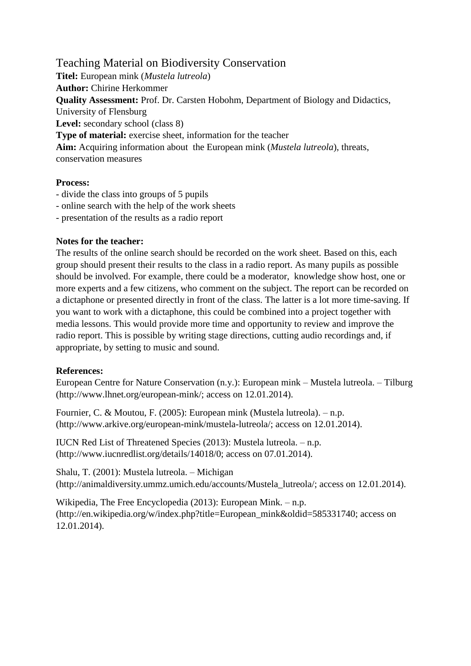Teaching Material on Biodiversity Conservation **Titel:** European mink (*Mustela lutreola*) **Author:** Chirine Herkommer **Quality Assessment:** Prof. Dr. Carsten Hobohm, Department of Biology and Didactics, University of Flensburg **Level:** secondary school (class 8) **Type of material:** exercise sheet, information for the teacher **Aim:** Acquiring information about the European mink (*Mustela lutreola*), threats, conservation measures

## **Process:**

- divide the class into groups of 5 pupils
- online search with the help of the work sheets
- presentation of the results as a radio report

## **Notes for the teacher:**

The results of the online search should be recorded on the work sheet. Based on this, each group should present their results to the class in a radio report. As many pupils as possible should be involved. For example, there could be a moderator, knowledge show host, one or more experts and a few citizens, who comment on the subject. The report can be recorded on a dictaphone or presented directly in front of the class. The latter is a lot more time-saving. If you want to work with a dictaphone, this could be combined into a project together with media lessons. This would provide more time and opportunity to review and improve the radio report. This is possible by writing stage directions, cutting audio recordings and, if appropriate, by setting to music and sound.

## **References:**

European Centre for Nature Conservation (n.y.): European mink – Mustela lutreola. – Tilburg (http://www.lhnet.org/european-mink/; access on 12.01.2014).

Fournier, C. & Moutou, F. (2005): European mink (Mustela lutreola). – n.p. (http://www.arkive.org/european-mink/mustela-lutreola/; access on 12.01.2014).

IUCN Red List of Threatened Species (2013): Mustela lutreola. – n.p. (http://www.iucnredlist.org/details/14018/0; access on 07.01.2014).

Shalu, T. (2001): Mustela lutreola. – Michigan (http://animaldiversity.ummz.umich.edu/accounts/Mustela\_lutreola/; access on 12.01.2014).

Wikipedia, The Free Encyclopedia (2013): European Mink. – n.p. (http://en.wikipedia.org/w/index.php?title=European\_mink&oldid=585331740; access on 12.01.2014).